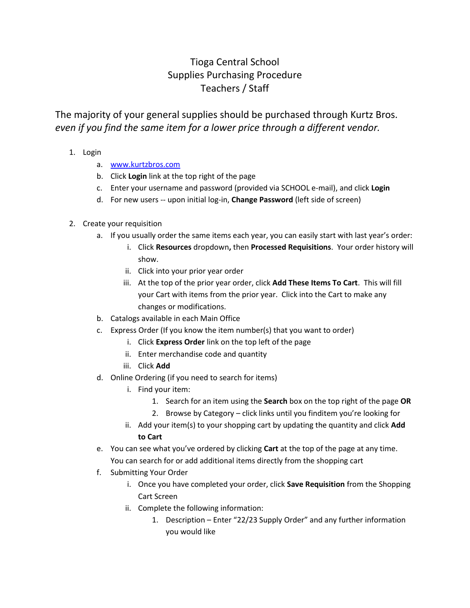## Tioga Central School Supplies Purchasing Procedure Teachers / Staff

The majority of your general supplies should be purchased through Kurtz Bros. *even if you find the same item for a lower price through a different vendor.*

- 1. Login
	- a. [www.kurtzbros.com](http://www.kurtzbros.com/)
	- b. Click **Login** link at the top right of the page
	- c. Enter your username and password (provided via SCHOOL e-mail), and click **Login**
	- d. For new users -- upon initial log-in, **Change Password** (left side of screen)

## 2. Create your requisition

- a. If you usually order the same items each year, you can easily start with last year's order:
	- i. Click **Resources** dropdown**,** then **Processed Requisitions**. Your order history will show.
	- ii. Click into your prior year order
	- iii. At the top of the prior year order, click **Add These Items To Cart**. This will fill your Cart with items from the prior year. Click into the Cart to make any changes or modifications.
- b. Catalogs available in each Main Office
- c. Express Order (If you know the item number(s) that you want to order)
	- i. Click **Express Order** link on the top left of the page
	- ii. Enter merchandise code and quantity
	- iii. Click **Add**
- d. Online Ordering (if you need to search for items)
	- i. Find your item:
		- 1. Search for an item using the **Search** box on the top right of the page **OR**
		- 2. Browse by Category click links until you finditem you're looking for
	- ii. Add your item(s) to your shopping cart by updating the quantity and click **Add to Cart**
- e. You can see what you've ordered by clicking **Cart** at the top of the page at any time. You can search for or add additional items directly from the shopping cart
- f. Submitting Your Order
	- i. Once you have completed your order, click **Save Requisition** from the Shopping Cart Screen
	- ii. Complete the following information:
		- 1. Description Enter "22/23 Supply Order" and any further information you would like